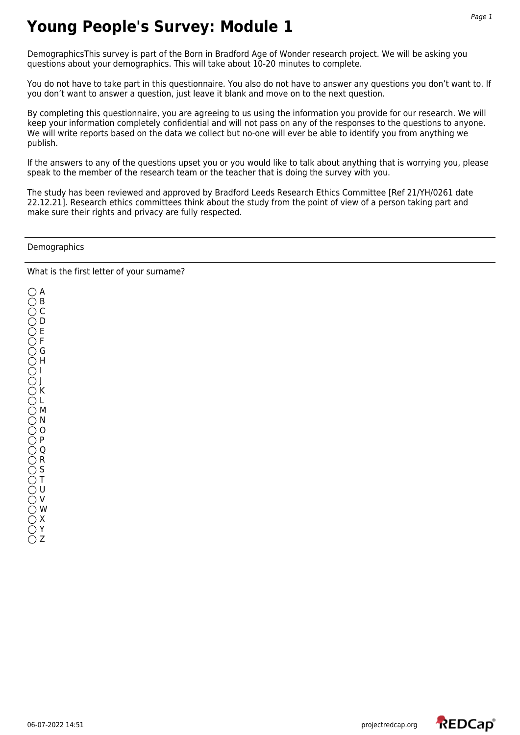DemographicsThis survey is part of the Born in Bradford Age of Wonder research project. We will be asking you questions about your demographics. This will take about 10-20 minutes to complete.

You do not have to take part in this questionnaire. You also do not have to answer any questions you don't want to. If you don't want to answer a question, just leave it blank and move on to the next question.

By completing this questionnaire, you are agreeing to us using the information you provide for our research. We will keep your information completely confidential and will not pass on any of the responses to the questions to anyone. We will write reports based on the data we collect but no-one will ever be able to identify you from anything we publish.

If the answers to any of the questions upset you or you would like to talk about anything that is worrying you, please speak to the member of the research team or the teacher that is doing the survey with you.

The study has been reviewed and approved by Bradford Leeds Research Ethics Committee [Ref 21/YH/0261 date 22.12.21]. Research ethics committees think about the study from the point of view of a person taking part and make sure their rights and privacy are fully respected.

**Demographics** 

What is the first letter of your surname?

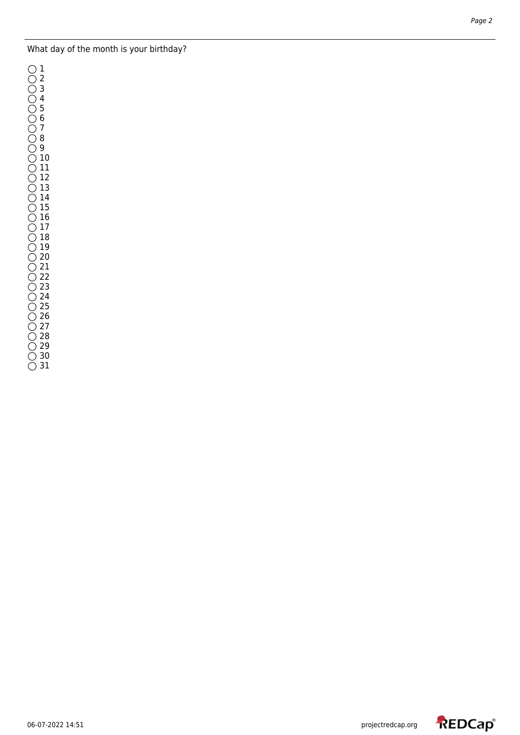## What day of the month is your birthday?

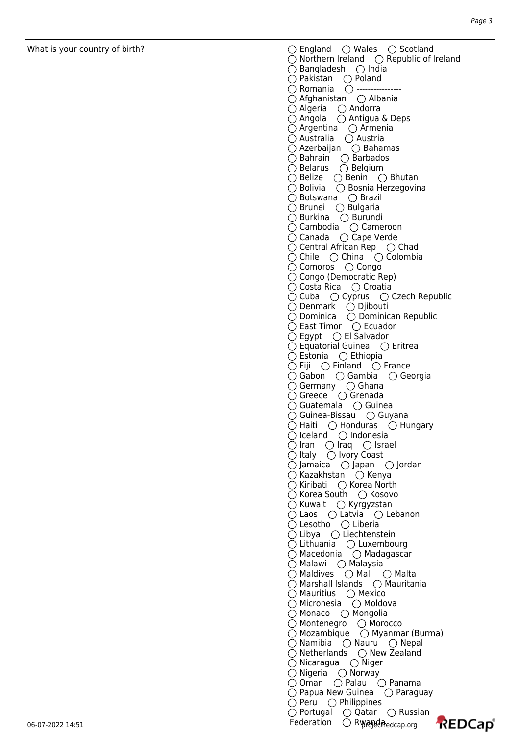What is your country of birth?  $\bigcirc$  England  $\bigcirc$  Wales  $\bigcirc$  Scotland  $\bigcirc$  Northern Ireland  $\bigcirc$  Republic of Ireland  $\bigcirc$  Bangladesh  $\bigcirc$  India  $\bigcirc$  Pakistan  $\bigcirc$  Poland  $\bigcirc$  Romania  $\bigcirc$  ------ $\bigcirc$  Afghanistan  $\bigcirc$  Albania  $\bigcirc$  Algeria  $\bigcirc$  Andorra  $\bigcirc$  Angola  $\bigcirc$  Antigua & Deps  $\bigcirc$  Argentina  $\bigcirc$  Armenia  $\bigcirc$  Australia  $\bigcirc$  Austria  $\bigcirc$  Azerbaijan  $\bigcirc$  Bahamas Bahrain (Barbados Belarus  $\bigcirc$  Belgium  $\bigcirc$  Belize  $\bigcirc$  Benin  $\bigcirc$  Bhutan  $\bigcirc$  Bolivia  $\bigcirc$  Bosnia Herzegovina  $\bigcirc$  Botswana  $\bigcirc$  Brazil  $\bigcirc$  Brunei  $\bigcirc$  Bulgaria  $\bigcirc$  Burkina  $\bigcirc$  Burundi Cambodia Cameroon Canada  $\bigcirc$  Cape Verde  $\bigcirc$  Central African Rep  $\bigcirc$  Chad  $\bigcirc$  Chile  $\bigcirc$  China  $\bigcirc$  Colombia  $\bigcirc$  Comoros  $\bigcirc$  Congo  $\bigcirc$  Congo (Democratic Rep)  $\bigcirc$  Costa Rica  $\bigcirc$  Croatia  $\bigcirc$  Cuba  $\bigcirc$  Cyprus  $\bigcirc$  Czech Republic  $\bigcirc$  Denmark  $\bigcirc$  Djibouti Dominica Dominican Republic  $\bigcirc$  East Timor  $\bigcirc$  Ecuador  $\bigcirc$  Egypt  $\bigcirc$  El Salvador  $\bigcirc$  Equatorial Guinea  $\bigcirc$  Eritrea  $\bigcirc$  Estonia  $\bigcirc$  Ethiopia  $\bigcirc$  Fiji  $\bigcirc$  Finland  $\bigcirc$  France Gabon Gambia Georgia  $\bigcirc$  Germany  $\bigcirc$  Ghana  $\bigcap$  Greece  $\bigcap$  Grenada  $\bigcirc$  Guatemala  $\bigcirc$  Guinea  $\bigcirc$  Guinea-Bissau  $\bigcirc$  Guyana  $\bigcirc$  Haiti  $\bigcirc$  Honduras  $\bigcirc$  Hungary  $\bigcirc$  Iceland  $\bigcirc$  Indonesia  $\bigcirc$  Iran  $\bigcirc$  Iraq  $\bigcirc$  Israel  $\bigcirc$  Italy  $\bigcirc$  Ivory Coast  $\bigcirc$  Jamaica  $\bigcirc$  Japan  $\bigcirc$  Jordan  $\bigcirc$  Kazakhstan  $\bigcirc$  Kenya  $\bigcirc$  Kiribati  $\bigcirc$  Korea North  $\bigcirc$  Korea South  $\bigcirc$  Kosovo  $\bigcirc$  Kuwait  $\bigcirc$  Kyrgyzstan  $\bigcirc$  Laos  $\bigcirc$  Latvia  $\bigcirc$  Lebanon  $\bigcirc$  Lesotho  $\bigcirc$  Liberia  $\bigcirc$  Libya  $\bigcirc$  Liechtenstein  $\bigcirc$  Lithuania  $\bigcirc$  Luxembourg  $\bigcirc$  Macedonia  $\bigcirc$  Madagascar Malawi (○ Malaysia Maldives  $\bigcirc$  Mali  $\bigcirc$  Malta  $\bigcirc$  Marshall Islands  $\bigcirc$  Mauritania  $\bigcirc$  Mauritius  $\bigcirc$  Mexico  $\bigcirc$  Micronesia  $\bigcirc$  Moldova  $\bigcirc$  Monaco  $\bigcirc$  Mongolia  $\bigcirc$  Montenegro  $\bigcirc$  Morocco  $\bigcirc$  Mozambique  $\bigcirc$  Myanmar (Burma)  $\bigcirc$  Namibia  $\bigcirc$  Nauru  $\bigcirc$  Nepal  $\bigcirc$  Netherlands  $\bigcirc$  New Zealand  $\bigcirc$  Nicaragua  $\bigcirc$  Niger  $\bigcirc$  Nigeria  $\bigcirc$  Norway  $\bigcirc$  Oman  $\bigcirc$  Palau  $\bigcirc$  Panama  $\bigcirc$  Papua New Guinea  $\bigcirc$  Paraguay  $\bigcirc$  Peru  $\bigcirc$  Philippines  $\bigcirc$  Portugal  $\bigcirc$  Qatar  $\bigcirc$  Russian **REDCap**<sup>®</sup>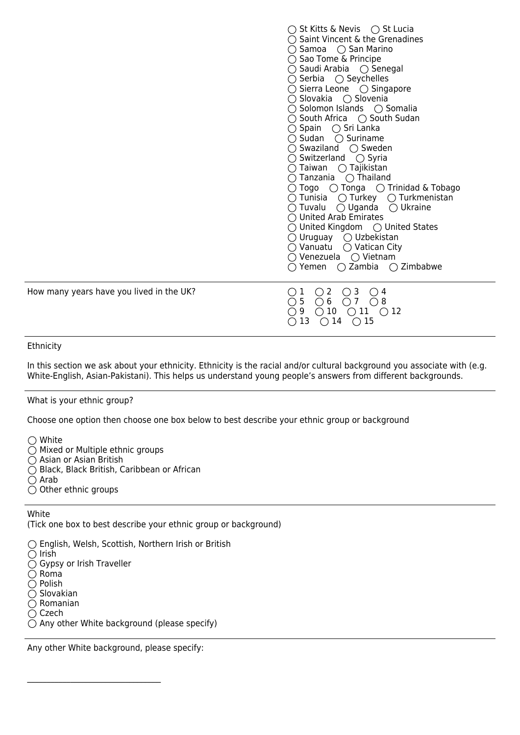|                                          | $\bigcirc$ St Kitts & Nevis $\bigcirc$ St Lucia<br>$\bigcirc$ Saint Vincent & the Grenadines<br>$\bigcirc$ Samoa $\bigcirc$ San Marino<br>$\bigcirc$ Sao Tome & Principe<br>◯ Saudi Arabia ◯ Senegal<br>$\bigcirc$ Serbia $\bigcirc$ Seychelles<br>$\bigcirc$ Sierra Leone $\bigcirc$ Singapore<br>○ Slovakia ○ Slovenia<br>$\bigcirc$ Solomon Islands $\bigcirc$ Somalia<br>$\bigcirc$ South Africa $\bigcirc$ South Sudan<br>$\bigcirc$ Spain $\bigcirc$ Sri Lanka<br>$\bigcirc$ Sudan<br>$\bigcirc$ Suriname<br>$\bigcirc$ Swaziland $\bigcirc$ Sweden<br>$\bigcirc$ Switzerland $\bigcirc$ Syria<br>$\bigcirc$ Taiwan<br>$\bigcirc$ Tajikistan<br>$\bigcap$ Thailand<br>∩ Tanzania I<br>$\bigcirc$ Togo $\bigcirc$ Tonga $\bigcirc$ Trinidad & Tobago<br>$\bigcirc$ Tunisia $\bigcirc$ Turkey $\bigcirc$ Turkmenistan<br>$\bigcirc$ Tuvalu<br>$\bigcirc$ Uganda<br>$\bigcirc$ Ukraine<br>$\bigcirc$ United Arab Emirates<br>$\bigcirc$ United Kingdom $\bigcirc$ United States<br>$\bigcirc$ Uruguay $\bigcirc$ Uzbekistan<br>$\bigcirc$ Vatican City<br>∩ Vanuatu<br>○ Venezuela<br>$\bigcirc$ Vietnam<br>$\bigcirc$ Yemen $\bigcirc$ Zambia $\bigcirc$ Zimbabwe |
|------------------------------------------|-----------------------------------------------------------------------------------------------------------------------------------------------------------------------------------------------------------------------------------------------------------------------------------------------------------------------------------------------------------------------------------------------------------------------------------------------------------------------------------------------------------------------------------------------------------------------------------------------------------------------------------------------------------------------------------------------------------------------------------------------------------------------------------------------------------------------------------------------------------------------------------------------------------------------------------------------------------------------------------------------------------------------------------------------------------------------------------------------------------------------------------------------------------------------|
| How many years have you lived in the UK? | $\bigcirc$ 2<br>$\bigcirc$ 3<br>1<br>$\overline{4}$<br>$\left( \right)$<br>6<br>5<br>$\bigcirc$ 7<br>$\bigcirc$<br>8<br>$\left(\begin{array}{c} \end{array}\right)$<br>$\bigcirc$ 10<br>11<br>9<br>$\bigcirc$ 12<br>13<br>$\bigcirc$ 14<br>$\bigcirc$ 15                                                                                                                                                                                                                                                                                                                                                                                                                                                                                                                                                                                                                                                                                                                                                                                                                                                                                                              |

#### Ethnicity

In this section we ask about your ethnicity. Ethnicity is the racial and/or cultural background you associate with (e.g. White-English, Asian-Pakistani). This helps us understand young people's answers from different backgrounds.

### What is your ethnic group?

Choose one option then choose one box below to best describe your ethnic group or background

◯ White

 $\tilde{O}$  Mixed or Multiple ethnic groups

 $\tilde{O}$  Asian or Asian British

Black, Black British, Caribbean or African

 $\bigcirc$  Arab

 $\bigcirc$  Other ethnic groups

### White

(Tick one box to best describe your ethnic group or background)

English, Welsh, Scottish, Northern Irish or British

 $\bigcirc$  Irish

○ Gypsy or Irish Traveller

 $\bigcirc$  Roma  $\overline{\bigcirc}$  Polish

 $\overline{O}$  Slovakian

 $\overline{O}$  Romanian

 $\bigcirc$  Czech

 $\bigcirc$  Any other White background (please specify)

Any other White background, please specify:

 $\mathcal{L}_\text{max}$  , where  $\mathcal{L}_\text{max}$  and  $\mathcal{L}_\text{max}$  and  $\mathcal{L}_\text{max}$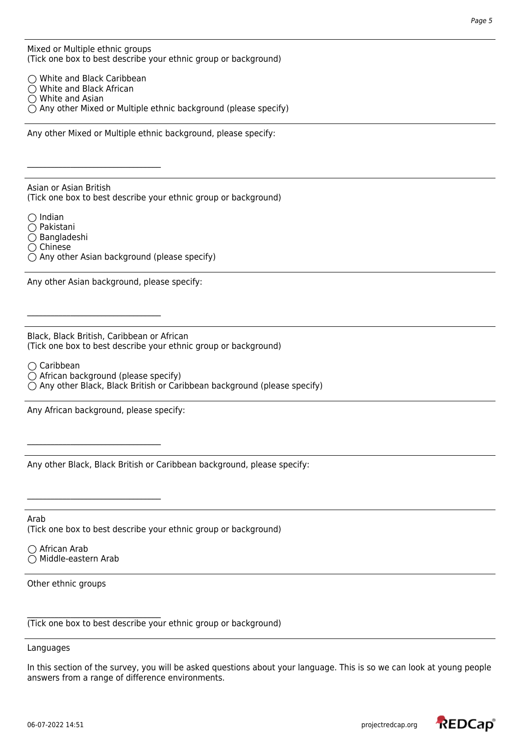Mixed or Multiple ethnic groups (Tick one box to best describe your ethnic group or background)

◯ White and Black Caribbean White and Black African  $\bigcirc$  White and Asian  $\bigcirc$  Any other Mixed or Multiple ethnic background (please specify)

Any other Mixed or Multiple ethnic background, please specify:

Asian or Asian British (Tick one box to best describe your ethnic group or background)

 $\bigcap$  Indian Pakistani  $\bigcirc$  Bangladeshi  $\bigcirc$  Chinese

 $\mathcal{L}_\text{max}$  , where  $\mathcal{L}_\text{max}$  and  $\mathcal{L}_\text{max}$  and  $\mathcal{L}_\text{max}$ 

 $\bigcirc$  Any other Asian background (please specify)

Any other Asian background, please specify:

Black, Black British, Caribbean or African (Tick one box to best describe your ethnic group or background)

 $\bigcirc$  Caribbean

 $\bigcirc$  African background (please specify)

 $\bigcirc$  Any other Black, Black British or Caribbean background (please specify)

Any African background, please specify:

 $\mathcal{L}_\text{max}$  , where  $\mathcal{L}_\text{max}$  and  $\mathcal{L}_\text{max}$  and  $\mathcal{L}_\text{max}$ 

 $\mathcal{L}_\text{max}$  , where  $\mathcal{L}_\text{max}$  and  $\mathcal{L}_\text{max}$  and  $\mathcal{L}_\text{max}$ 

 $\mathcal{L}_\text{max}$  , where  $\mathcal{L}_\text{max}$  and  $\mathcal{L}_\text{max}$  and  $\mathcal{L}_\text{max}$ 

Any other Black, Black British or Caribbean background, please specify:

Arab (Tick one box to best describe your ethnic group or background)

◯ African Arab  $\bigcirc$  Middle-eastern Arab

Other ethnic groups

(Tick one box to best describe your ethnic group or background)

Languages

In this section of the survey, you will be asked questions about your language. This is so we can look at young people answers from a range of difference environments.

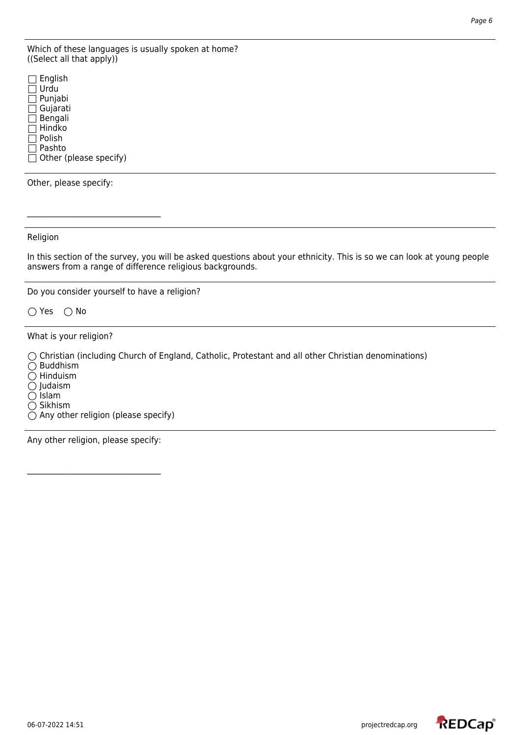Which of these languages is usually spoken at home? ((Select all that apply))

|              | $\Box$ English         |
|--------------|------------------------|
|              | Urdu                   |
| $\perp$      | Punjabi                |
|              | $\Box$ Gujarati        |
| $\mathsf{L}$ | Bengali                |
|              | Hindko                 |
|              | Polish                 |
|              | Pashto                 |
|              | Other (please specify) |
|              |                        |

Other, please specify:

Religion

In this section of the survey, you will be asked questions about your ethnicity. This is so we can look at young people answers from a range of difference religious backgrounds.

Do you consider yourself to have a religion?

 $\bigcirc$  Yes  $\bigcirc$  No

What is your religion?

Christian (including Church of England, Catholic, Protestant and all other Christian denominations)

 $\bigcirc$  Buddhism

 $\bigcirc$  Hinduism

 $\bigcirc$  Judaism

 $\bigcirc$  Islam

 $\overline{O}$  Sikhism

 $\overline{O}$  Any other religion (please specify)

Any other religion, please specify:

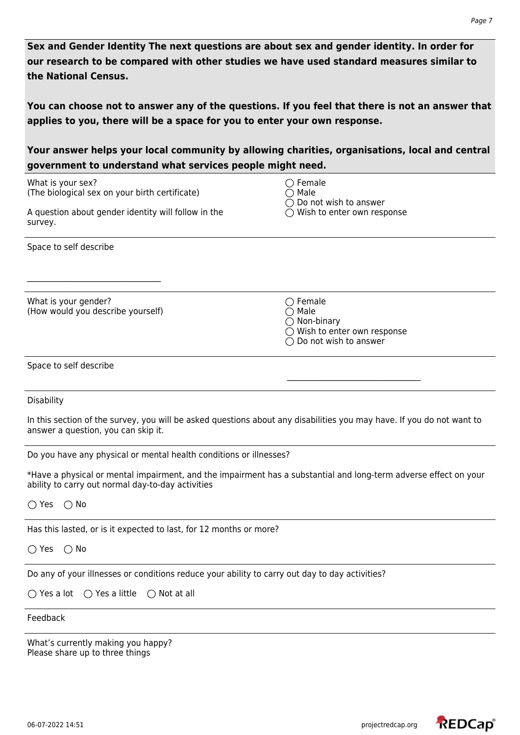**Sex and Gender Identity The next questions are about sex and gender identity. In order for our research to be compared with other studies we have used standard measures similar to the National Census.** 

**You can choose not to answer any of the questions. If you feel that there is not an answer that applies to you, there will be a space for you to enter your own response.** 

# **Your answer helps your local community by allowing charities, organisations, local and central government to understand what services people might need.**

| What is your sex?<br>(The biological sex on your birth certificate)                                                                                                   | $\bigcirc$ Female<br>Male<br>Do not wish to answer<br>◯ Wish to enter own response                                                         |  |
|-----------------------------------------------------------------------------------------------------------------------------------------------------------------------|--------------------------------------------------------------------------------------------------------------------------------------------|--|
| A question about gender identity will follow in the<br>survey.                                                                                                        |                                                                                                                                            |  |
| Space to self describe                                                                                                                                                |                                                                                                                                            |  |
| What is your gender?<br>(How would you describe yourself)                                                                                                             | $\bigcirc$ Female<br>$\bigcirc$ Male<br>$\bigcirc$ Non-binary<br>$\bigcirc$ Wish to enter own response<br>$\bigcirc$ Do not wish to answer |  |
| Space to self describe                                                                                                                                                |                                                                                                                                            |  |
| Disability                                                                                                                                                            |                                                                                                                                            |  |
| In this section of the survey, you will be asked questions about any disabilities you may have. If you do not want to<br>answer a question, you can skip it.          |                                                                                                                                            |  |
| Do you have any physical or mental health conditions or illnesses?                                                                                                    |                                                                                                                                            |  |
| *Have a physical or mental impairment, and the impairment has a substantial and long-term adverse effect on your<br>ability to carry out normal day-to-day activities |                                                                                                                                            |  |
| $\bigcirc$ Yes<br>$\bigcirc$ No                                                                                                                                       |                                                                                                                                            |  |
| Has this lasted, or is it expected to last, for 12 months or more?                                                                                                    |                                                                                                                                            |  |
| $\bigcirc$ No<br>$\bigcirc$ Yes                                                                                                                                       |                                                                                                                                            |  |
| Do any of your illnesses or conditions reduce your ability to carry out day to day activities?                                                                        |                                                                                                                                            |  |
| ○ Yes a little<br>$\bigcirc$ Yes a lot<br>$\bigcirc$ Not at all                                                                                                       |                                                                                                                                            |  |
| Feedback                                                                                                                                                              |                                                                                                                                            |  |
| What's currently making you happy?<br>Please share up to three things                                                                                                 |                                                                                                                                            |  |